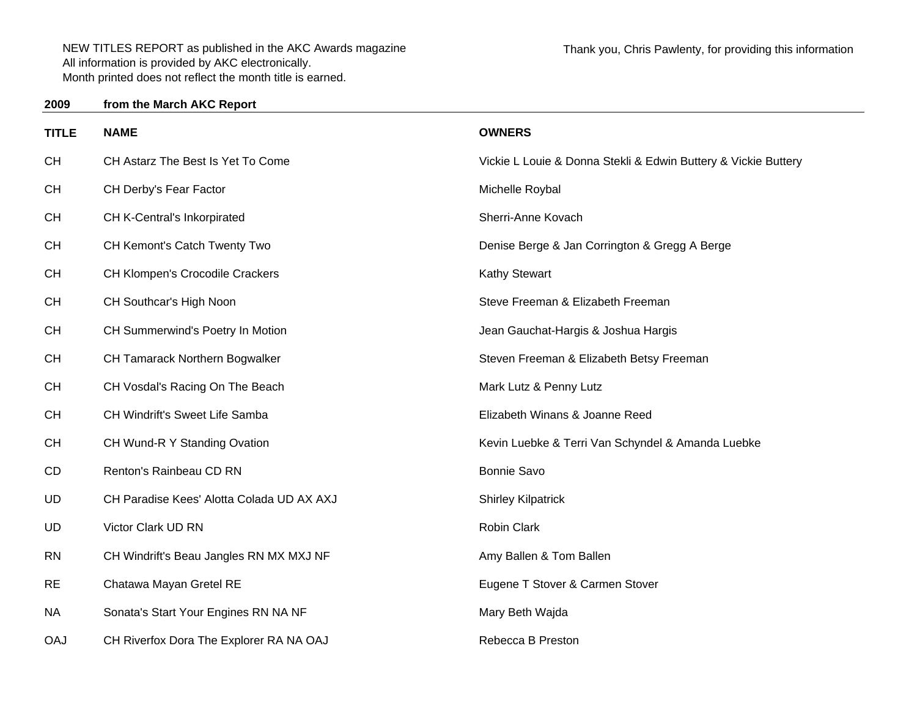## **2009from the March AKC Report**

| <b>TITLE</b> | <b>NAME</b>                               | <b>OWNERS</b>                                                  |
|--------------|-------------------------------------------|----------------------------------------------------------------|
| <b>CH</b>    | CH Astarz The Best Is Yet To Come         | Vickie L Louie & Donna Stekli & Edwin Buttery & Vickie Buttery |
| <b>CH</b>    | CH Derby's Fear Factor                    | Michelle Roybal                                                |
| <b>CH</b>    | CH K-Central's Inkorpirated               | Sherri-Anne Kovach                                             |
| <b>CH</b>    | CH Kemont's Catch Twenty Two              | Denise Berge & Jan Corrington & Gregg A Berge                  |
| <b>CH</b>    | <b>CH Klompen's Crocodile Crackers</b>    | <b>Kathy Stewart</b>                                           |
| <b>CH</b>    | CH Southcar's High Noon                   | Steve Freeman & Elizabeth Freeman                              |
| <b>CH</b>    | CH Summerwind's Poetry In Motion          | Jean Gauchat-Hargis & Joshua Hargis                            |
| <b>CH</b>    | CH Tamarack Northern Bogwalker            | Steven Freeman & Elizabeth Betsy Freeman                       |
| <b>CH</b>    | CH Vosdal's Racing On The Beach           | Mark Lutz & Penny Lutz                                         |
| <b>CH</b>    | CH Windrift's Sweet Life Samba            | Elizabeth Winans & Joanne Reed                                 |
| <b>CH</b>    | CH Wund-R Y Standing Ovation              | Kevin Luebke & Terri Van Schyndel & Amanda Luebke              |
| CD           | Renton's Rainbeau CD RN                   | Bonnie Savo                                                    |
| <b>UD</b>    | CH Paradise Kees' Alotta Colada UD AX AXJ | <b>Shirley Kilpatrick</b>                                      |
| <b>UD</b>    | Victor Clark UD RN                        | Robin Clark                                                    |
| <b>RN</b>    | CH Windrift's Beau Jangles RN MX MXJ NF   | Amy Ballen & Tom Ballen                                        |
| <b>RE</b>    | Chatawa Mayan Gretel RE                   | Eugene T Stover & Carmen Stover                                |
| <b>NA</b>    | Sonata's Start Your Engines RN NA NF      | Mary Beth Wajda                                                |
| <b>OAJ</b>   | CH Riverfox Dora The Explorer RA NA OAJ   | Rebecca B Preston                                              |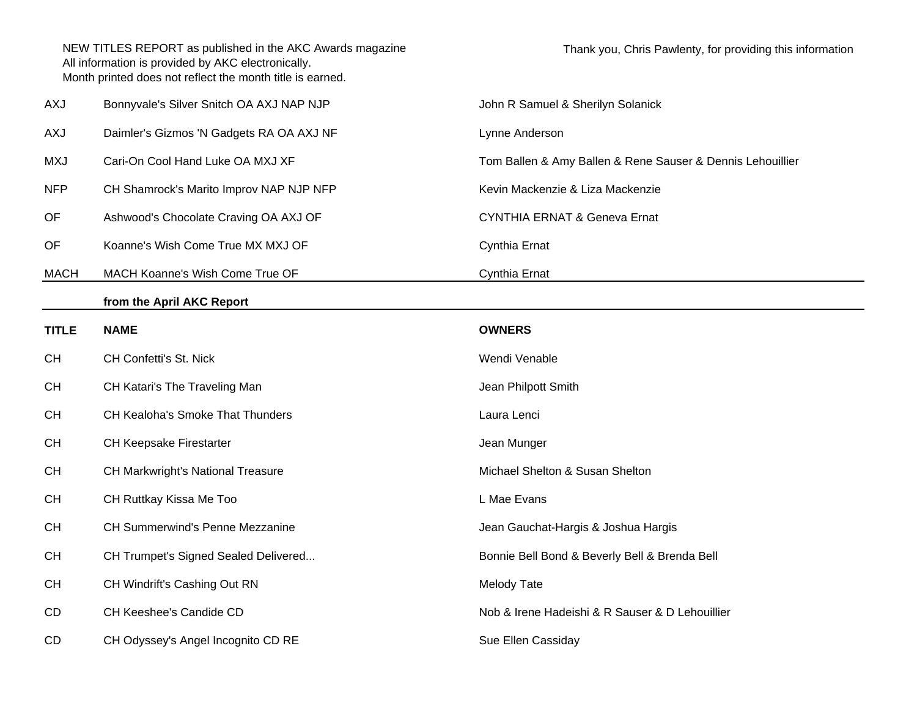| AXJ          | Bonnyvale's Silver Snitch OA AXJ NAP NJP | John R Samuel & Sherilyn Solanick                          |  |
|--------------|------------------------------------------|------------------------------------------------------------|--|
| <b>AXJ</b>   | Daimler's Gizmos 'N Gadgets RA OA AXJ NF | Lynne Anderson                                             |  |
| <b>MXJ</b>   | Cari-On Cool Hand Luke OA MXJ XF         | Tom Ballen & Amy Ballen & Rene Sauser & Dennis Lehouillier |  |
| <b>NFP</b>   | CH Shamrock's Marito Improv NAP NJP NFP  | Kevin Mackenzie & Liza Mackenzie                           |  |
| OF           | Ashwood's Chocolate Craving OA AXJ OF    | <b>CYNTHIA ERNAT &amp; Geneva Ernat</b>                    |  |
| OF           | Koanne's Wish Come True MX MXJ OF        | Cynthia Ernat                                              |  |
| <b>MACH</b>  | MACH Koanne's Wish Come True OF          | Cynthia Ernat                                              |  |
|              | from the April AKC Report                |                                                            |  |
| <b>TITLE</b> | <b>NAME</b>                              | <b>OWNERS</b>                                              |  |
| <b>CH</b>    | CH Confetti's St. Nick                   | Wendi Venable                                              |  |
| <b>CH</b>    | CH Katari's The Traveling Man            | Jean Philpott Smith                                        |  |
| <b>CH</b>    | CH Kealoha's Smoke That Thunders         | Laura Lenci                                                |  |
| <b>CH</b>    | CH Keepsake Firestarter                  | Jean Munger                                                |  |
| <b>CH</b>    | <b>CH Markwright's National Treasure</b> | Michael Shelton & Susan Shelton                            |  |
| <b>CH</b>    | CH Ruttkay Kissa Me Too                  | L Mae Evans                                                |  |
| <b>CH</b>    | CH Summerwind's Penne Mezzanine          | Jean Gauchat-Hargis & Joshua Hargis                        |  |
| <b>CH</b>    | CH Trumpet's Signed Sealed Delivered     | Bonnie Bell Bond & Beverly Bell & Brenda Bell              |  |
| <b>CH</b>    | CH Windrift's Cashing Out RN             | <b>Melody Tate</b>                                         |  |
| CD           | CH Keeshee's Candide CD                  | Nob & Irene Hadeishi & R Sauser & D Lehouillier            |  |
| CD           | CH Odyssey's Angel Incognito CD RE       | Sue Ellen Cassiday                                         |  |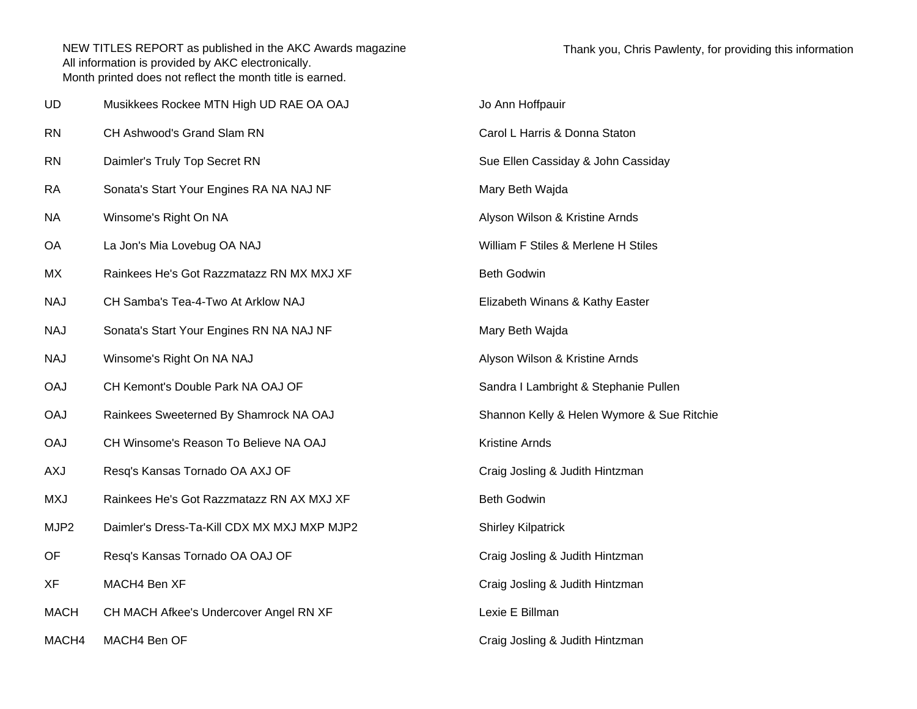| UD               | Musikkees Rockee MTN High UD RAE OA OAJ     | Jo Ann Hoffpauir                           |
|------------------|---------------------------------------------|--------------------------------------------|
| <b>RN</b>        | CH Ashwood's Grand Slam RN                  | Carol L Harris & Donna Staton              |
| <b>RN</b>        | Daimler's Truly Top Secret RN               | Sue Ellen Cassiday & John Cassiday         |
| <b>RA</b>        | Sonata's Start Your Engines RA NA NAJ NF    | Mary Beth Wajda                            |
| NA               | Winsome's Right On NA                       | Alyson Wilson & Kristine Arnds             |
| OA               | La Jon's Mia Lovebug OA NAJ                 | William F Stiles & Merlene H Stiles        |
| MX               | Rainkees He's Got Razzmatazz RN MX MXJ XF   | <b>Beth Godwin</b>                         |
| <b>NAJ</b>       | CH Samba's Tea-4-Two At Arklow NAJ          | Elizabeth Winans & Kathy Easter            |
| <b>NAJ</b>       | Sonata's Start Your Engines RN NA NAJ NF    | Mary Beth Wajda                            |
| <b>NAJ</b>       | Winsome's Right On NA NAJ                   | Alyson Wilson & Kristine Arnds             |
| <b>OAJ</b>       | CH Kemont's Double Park NA OAJ OF           | Sandra I Lambright & Stephanie Pullen      |
| <b>OAJ</b>       | Rainkees Sweeterned By Shamrock NA OAJ      | Shannon Kelly & Helen Wymore & Sue Ritchie |
| <b>OAJ</b>       | CH Winsome's Reason To Believe NA OAJ       | Kristine Arnds                             |
| <b>AXJ</b>       | Resq's Kansas Tornado OA AXJ OF             | Craig Josling & Judith Hintzman            |
| <b>MXJ</b>       | Rainkees He's Got Razzmatazz RN AX MXJ XF   | <b>Beth Godwin</b>                         |
| MJP <sub>2</sub> | Daimler's Dress-Ta-Kill CDX MX MXJ MXP MJP2 | <b>Shirley Kilpatrick</b>                  |
| OF               | Resq's Kansas Tornado OA OAJ OF             | Craig Josling & Judith Hintzman            |
| XF               | MACH4 Ben XF                                | Craig Josling & Judith Hintzman            |
| <b>MACH</b>      | CH MACH Afkee's Undercover Angel RN XF      | Lexie E Billman                            |
| MACH4            | MACH4 Ben OF                                | Craig Josling & Judith Hintzman            |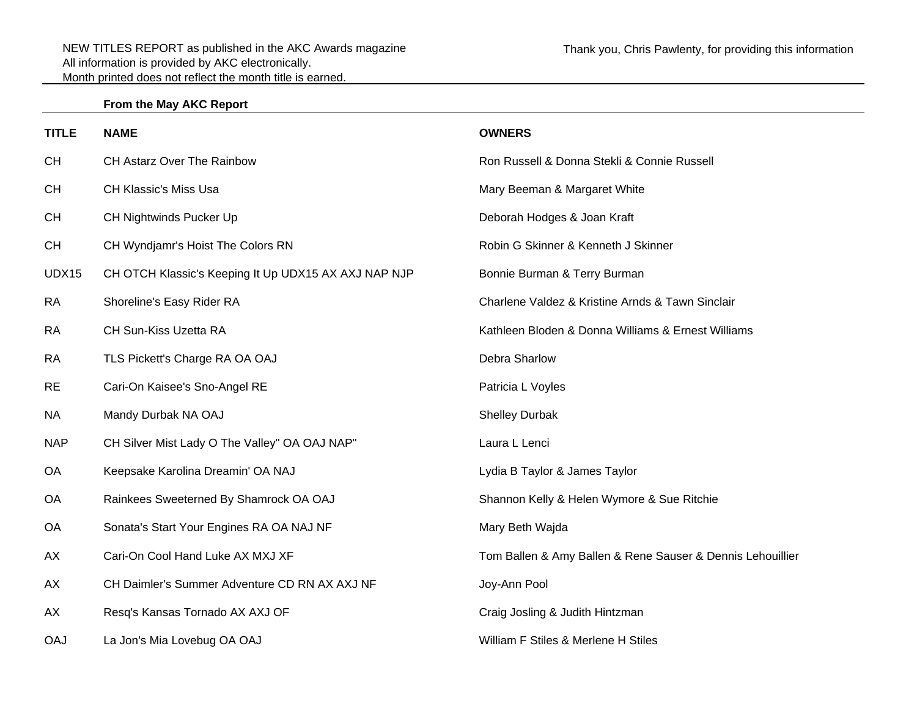## **From the May AKC Report**

| <b>TITLE</b> | <b>NAME</b>                                          | <b>OWNERS</b>                                              |
|--------------|------------------------------------------------------|------------------------------------------------------------|
| CH           | CH Astarz Over The Rainbow                           | Ron Russell & Donna Stekli & Connie Russell                |
| <b>CH</b>    | <b>CH Klassic's Miss Usa</b>                         | Mary Beeman & Margaret White                               |
| <b>CH</b>    | CH Nightwinds Pucker Up                              | Deborah Hodges & Joan Kraft                                |
| <b>CH</b>    | CH Wyndjamr's Hoist The Colors RN                    | Robin G Skinner & Kenneth J Skinner                        |
| UDX15        | CH OTCH Klassic's Keeping It Up UDX15 AX AXJ NAP NJP | Bonnie Burman & Terry Burman                               |
| <b>RA</b>    | Shoreline's Easy Rider RA                            | Charlene Valdez & Kristine Arnds & Tawn Sinclair           |
| <b>RA</b>    | CH Sun-Kiss Uzetta RA                                | Kathleen Bloden & Donna Williams & Ernest Williams         |
| <b>RA</b>    | TLS Pickett's Charge RA OA OAJ                       | Debra Sharlow                                              |
| <b>RE</b>    | Cari-On Kaisee's Sno-Angel RE                        | Patricia L Voyles                                          |
| <b>NA</b>    | Mandy Durbak NA OAJ                                  | <b>Shelley Durbak</b>                                      |
| <b>NAP</b>   | CH Silver Mist Lady O The Valley" OA OAJ NAP"        | Laura L Lenci                                              |
| <b>OA</b>    | Keepsake Karolina Dreamin' OA NAJ                    | Lydia B Taylor & James Taylor                              |
| <b>OA</b>    | Rainkees Sweeterned By Shamrock OA OAJ               | Shannon Kelly & Helen Wymore & Sue Ritchie                 |
| OA           | Sonata's Start Your Engines RA OA NAJ NF             | Mary Beth Wajda                                            |
| AX           | Cari-On Cool Hand Luke AX MXJ XF                     | Tom Ballen & Amy Ballen & Rene Sauser & Dennis Lehouillier |
| AX           | CH Daimler's Summer Adventure CD RN AX AXJ NF        | Joy-Ann Pool                                               |
| AX           | Resq's Kansas Tornado AX AXJ OF                      | Craig Josling & Judith Hintzman                            |
| <b>OAJ</b>   | La Jon's Mia Lovebug OA OAJ                          | William F Stiles & Merlene H Stiles                        |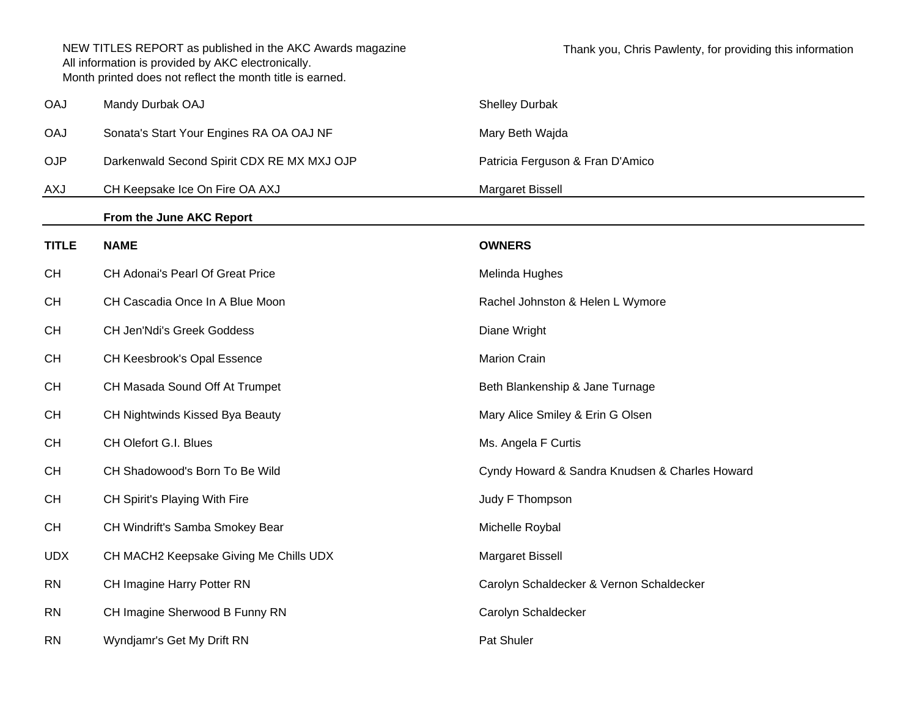NEW TITLES REPORT as published in the AKC Awards magazine All information is provided by AKC electronically. Month printed does not reflect the month title is earned. Thank you, Chris Pawlenty, for providing this information OAJ Mandy Durbak OAJ Shelley Durbak OAJ Shelley Durbak Shelley Durbak Shelley Durbak OAJ Sonata's Start Your Engines RA OA OAJ NF Mary Beth Wajda OJP Darkenwald Second Spirit CDX RE MX MXJ OJP Patricia Ferguson & Fran D'Amico AXJ CH Keepsake Ice On Fire OA AXJ Margaret Bissell **From the June AKC Report TITLE NAME OWNERS**CH CH Adonai's Pearl Of Great Price **Medical CH** Melinda Hughes CH CH Cascadia Once In A Blue Moon **Rachel Johnston & Helen L Wymore** Rachel Johnston & Helen L Wymore CH CH Jen'Ndi's Greek Goddess **Diane Wright** Diane Wright CH CH Keesbrook's Opal Essence Marion Crain CH CH Masada Sound Off At Trumpet **Beth Blankenship & Jane Turnage** Beth Blankenship & Jane Turnage CH CH Nightwinds Kissed Bya Beauty Mary Alice Smiley & Erin G Olsen CH CH Olefort G.I. Blues CH Olefort G.I. Blues Ms. Angela F Curtis CH CH Shadowood's Born To Be Wild Cyndy Howard & Sandra Knudsen & Charles Howard CH CH Spirit's Playing With Fire **CH Spirit's Playing With Fire** And All Channel Channel Channel Channel Channel Channel Channel Channel Channel Channel Channel Channel Channel Channel Channel Channel Channel Channel Chann CH CH Windrift's Samba Smokey Bear Michelle Roybal Michelle Roybal UDX CH MACH2 Keepsake Giving Me Chills UDX Margaret Bissell RN CH Imagine Harry Potter RN Carolyn Schaldecker & Vernon Schaldecker RN CH Imagine Sherwood B Funny RN Carolyn Schaldecker RN Wyndjamr's Get My Drift RN Pat Shuler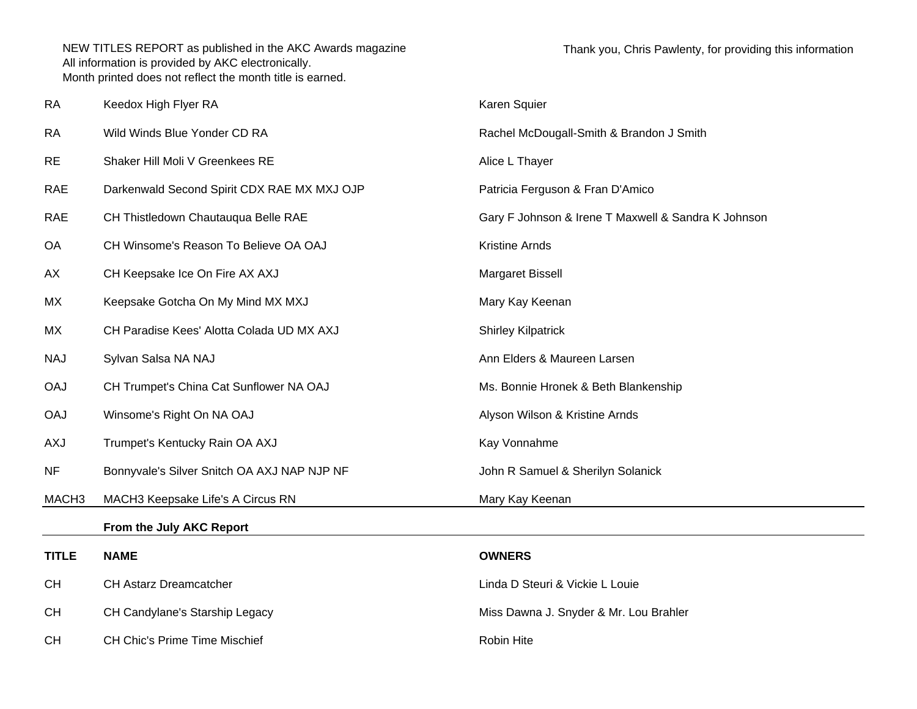| <b>RA</b>         | Keedox High Flyer RA                        | Karen Squier                                        |
|-------------------|---------------------------------------------|-----------------------------------------------------|
| <b>RA</b>         | Wild Winds Blue Yonder CD RA                | Rachel McDougall-Smith & Brandon J Smith            |
| <b>RE</b>         | Shaker Hill Moli V Greenkees RE             | Alice L Thayer                                      |
| <b>RAE</b>        | Darkenwald Second Spirit CDX RAE MX MXJ OJP | Patricia Ferguson & Fran D'Amico                    |
| <b>RAE</b>        | CH Thistledown Chautauqua Belle RAE         | Gary F Johnson & Irene T Maxwell & Sandra K Johnson |
| OA                | CH Winsome's Reason To Believe OA OAJ       | Kristine Arnds                                      |
| AX                | CH Keepsake Ice On Fire AX AXJ              | Margaret Bissell                                    |
| МX                | Keepsake Gotcha On My Mind MX MXJ           | Mary Kay Keenan                                     |
| МX                | CH Paradise Kees' Alotta Colada UD MX AXJ   | <b>Shirley Kilpatrick</b>                           |
| <b>NAJ</b>        | Sylvan Salsa NA NAJ                         | Ann Elders & Maureen Larsen                         |
| <b>OAJ</b>        | CH Trumpet's China Cat Sunflower NA OAJ     | Ms. Bonnie Hronek & Beth Blankenship                |
| <b>OAJ</b>        | Winsome's Right On NA OAJ                   | Alyson Wilson & Kristine Arnds                      |
| <b>AXJ</b>        | Trumpet's Kentucky Rain OA AXJ              | Kay Vonnahme                                        |
| <b>NF</b>         | Bonnyvale's Silver Snitch OA AXJ NAP NJP NF | John R Samuel & Sherilyn Solanick                   |
| MACH <sub>3</sub> | MACH3 Keepsake Life's A Circus RN           | Mary Kay Keenan                                     |
|                   | From the July AKC Report                    |                                                     |
| <b>TITLE</b>      | <b>NAME</b>                                 | <b>OWNERS</b>                                       |
| <b>CH</b>         | CH Astarz Dreamcatcher                      | Linda D Steuri & Vickie L Louie                     |
| <b>CH</b>         | CH Candylane's Starship Legacy              | Miss Dawna J. Snyder & Mr. Lou Brahler              |
|                   |                                             |                                                     |

CH CH Chic's Prime Time Mischief **Robin Hite** Robin Hite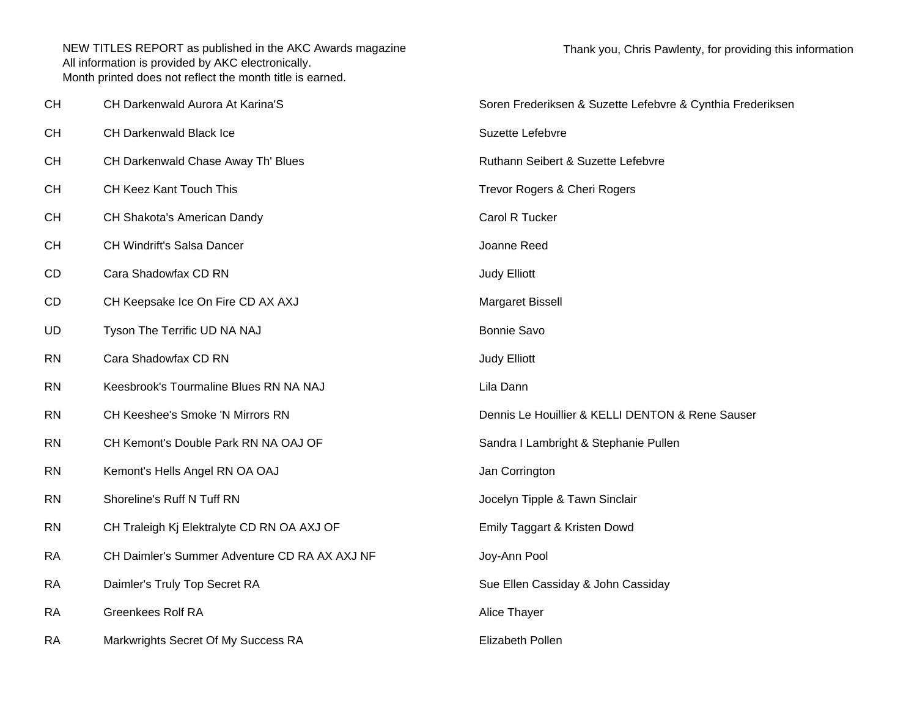| <b>CH</b> | CH Darkenwald Aurora At Karina'S              | Soren Frederiksen & Suzette Lefebvre & Cynthia Frederiksen |
|-----------|-----------------------------------------------|------------------------------------------------------------|
| <b>CH</b> | CH Darkenwald Black Ice                       | Suzette Lefebvre                                           |
| <b>CH</b> | CH Darkenwald Chase Away Th' Blues            | Ruthann Seibert & Suzette Lefebvre                         |
| <b>CH</b> | CH Keez Kant Touch This                       | Trevor Rogers & Cheri Rogers                               |
| <b>CH</b> | CH Shakota's American Dandy                   | Carol R Tucker                                             |
| <b>CH</b> | CH Windrift's Salsa Dancer                    | Joanne Reed                                                |
| CD        | Cara Shadowfax CD RN                          | Judy Elliott                                               |
| CD        | CH Keepsake Ice On Fire CD AX AXJ             | Margaret Bissell                                           |
| UD        | Tyson The Terrific UD NA NAJ                  | <b>Bonnie Savo</b>                                         |
| <b>RN</b> | Cara Shadowfax CD RN                          | Judy Elliott                                               |
| <b>RN</b> | Keesbrook's Tourmaline Blues RN NA NAJ        | Lila Dann                                                  |
| <b>RN</b> | CH Keeshee's Smoke 'N Mirrors RN              | Dennis Le Houillier & KELLI DENTON & Rene Sauser           |
| <b>RN</b> | CH Kemont's Double Park RN NA OAJ OF          | Sandra I Lambright & Stephanie Pullen                      |
| <b>RN</b> | Kemont's Hells Angel RN OA OAJ                | Jan Corrington                                             |
| <b>RN</b> | Shoreline's Ruff N Tuff RN                    | Jocelyn Tipple & Tawn Sinclair                             |
| <b>RN</b> | CH Traleigh Kj Elektralyte CD RN OA AXJ OF    | Emily Taggart & Kristen Dowd                               |
| RA        | CH Daimler's Summer Adventure CD RA AX AXJ NF | Joy-Ann Pool                                               |
| <b>RA</b> | Daimler's Truly Top Secret RA                 | Sue Ellen Cassiday & John Cassiday                         |
| <b>RA</b> | <b>Greenkees Rolf RA</b>                      | Alice Thayer                                               |
| <b>RA</b> | Markwrights Secret Of My Success RA           | Elizabeth Pollen                                           |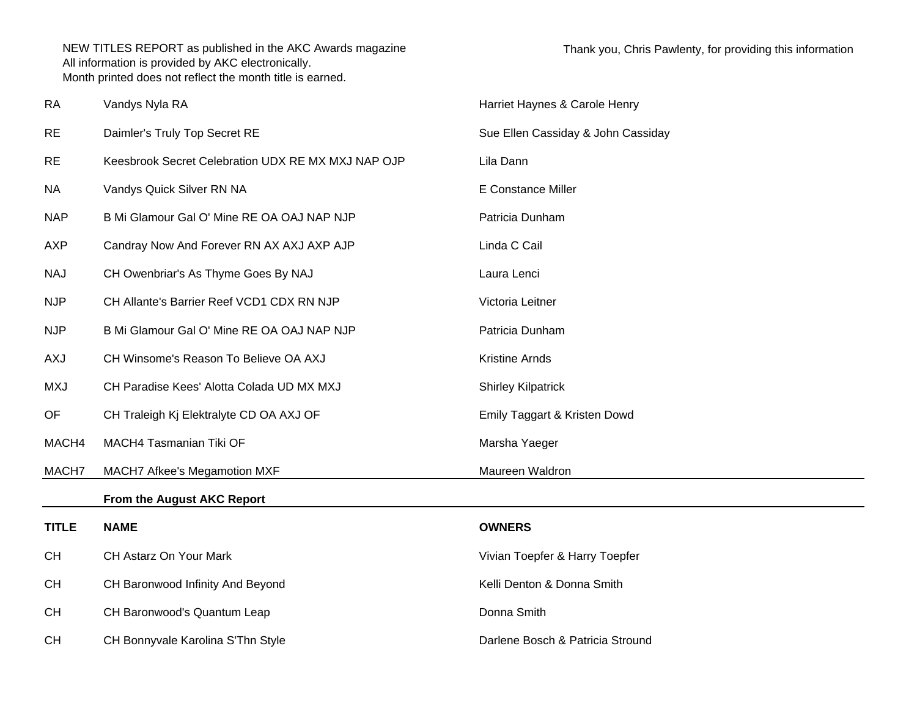| <b>RA</b>    | Vandys Nyla RA                                     | Harriet Haynes & Carole Henry      |
|--------------|----------------------------------------------------|------------------------------------|
| <b>RE</b>    | Daimler's Truly Top Secret RE                      | Sue Ellen Cassiday & John Cassiday |
| <b>RE</b>    | Keesbrook Secret Celebration UDX RE MX MXJ NAP OJP | Lila Dann                          |
| <b>NA</b>    | Vandys Quick Silver RN NA                          | E Constance Miller                 |
| <b>NAP</b>   | B Mi Glamour Gal O' Mine RE OA OAJ NAP NJP         | Patricia Dunham                    |
| <b>AXP</b>   | Candray Now And Forever RN AX AXJ AXP AJP          | Linda C Cail                       |
| <b>NAJ</b>   | CH Owenbriar's As Thyme Goes By NAJ                | Laura Lenci                        |
| <b>NJP</b>   | CH Allante's Barrier Reef VCD1 CDX RN NJP          | Victoria Leitner                   |
| <b>NJP</b>   | B Mi Glamour Gal O' Mine RE OA OAJ NAP NJP         | Patricia Dunham                    |
| AXJ          | CH Winsome's Reason To Believe OA AXJ              | Kristine Arnds                     |
| <b>MXJ</b>   | CH Paradise Kees' Alotta Colada UD MX MXJ          | <b>Shirley Kilpatrick</b>          |
| OF           | CH Traleigh Kj Elektralyte CD OA AXJ OF            | Emily Taggart & Kristen Dowd       |
| MACH4        | MACH4 Tasmanian Tiki OF                            | Marsha Yaeger                      |
| MACH7        | MACH7 Afkee's Megamotion MXF                       | Maureen Waldron                    |
|              | From the August AKC Report                         |                                    |
| <b>TITLE</b> | <b>NAME</b>                                        | <b>OWNERS</b>                      |
| CH           | CH Astarz On Your Mark                             | Vivian Toepfer & Harry Toepfer     |
| CH           | CH Baronwood Infinity And Beyond                   | Kelli Denton & Donna Smith         |
| <b>CH</b>    | CH Baronwood's Quantum Leap                        | Donna Smith                        |
| <b>CH</b>    | CH Bonnyvale Karolina S'Thn Style                  | Darlene Bosch & Patricia Stround   |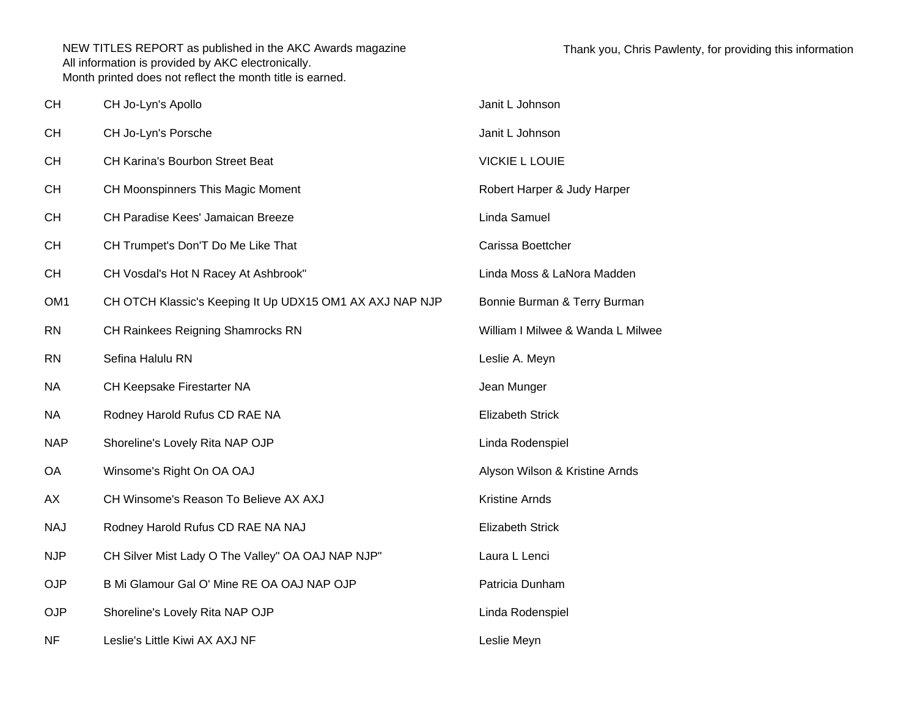| <b>CH</b>       | CH Jo-Lyn's Apollo                                       | Janit L Johnson                   |
|-----------------|----------------------------------------------------------|-----------------------------------|
| <b>CH</b>       | CH Jo-Lyn's Porsche                                      | Janit L Johnson                   |
| <b>CH</b>       | <b>CH Karina's Bourbon Street Beat</b>                   | <b>VICKIE L LOUIE</b>             |
| <b>CH</b>       | CH Moonspinners This Magic Moment                        | Robert Harper & Judy Harper       |
| <b>CH</b>       | CH Paradise Kees' Jamaican Breeze                        | Linda Samuel                      |
| <b>CH</b>       | CH Trumpet's Don'T Do Me Like That                       | Carissa Boettcher                 |
| <b>CH</b>       | CH Vosdal's Hot N Racey At Ashbrook"                     | Linda Moss & LaNora Madden        |
| OM <sub>1</sub> | CH OTCH Klassic's Keeping It Up UDX15 OM1 AX AXJ NAP NJP | Bonnie Burman & Terry Burman      |
| <b>RN</b>       | CH Rainkees Reigning Shamrocks RN                        | William I Milwee & Wanda L Milwee |
| <b>RN</b>       | Sefina Halulu RN                                         | Leslie A. Meyn                    |
| <b>NA</b>       | CH Keepsake Firestarter NA                               | Jean Munger                       |
| <b>NA</b>       | Rodney Harold Rufus CD RAE NA                            | <b>Elizabeth Strick</b>           |
| <b>NAP</b>      | Shoreline's Lovely Rita NAP OJP                          | Linda Rodenspiel                  |
| <b>OA</b>       | Winsome's Right On OA OAJ                                | Alyson Wilson & Kristine Arnds    |
| AX              | CH Winsome's Reason To Believe AX AXJ                    | Kristine Arnds                    |
| <b>NAJ</b>      | Rodney Harold Rufus CD RAE NA NAJ                        | <b>Elizabeth Strick</b>           |
| <b>NJP</b>      | CH Silver Mist Lady O The Valley" OA OAJ NAP NJP"        | Laura L Lenci                     |
| <b>OJP</b>      | B Mi Glamour Gal O' Mine RE OA OAJ NAP OJP               | Patricia Dunham                   |
| <b>OJP</b>      | Shoreline's Lovely Rita NAP OJP                          | Linda Rodenspiel                  |
| <b>NF</b>       | Leslie's Little Kiwi AX AXJ NF                           | Leslie Meyn                       |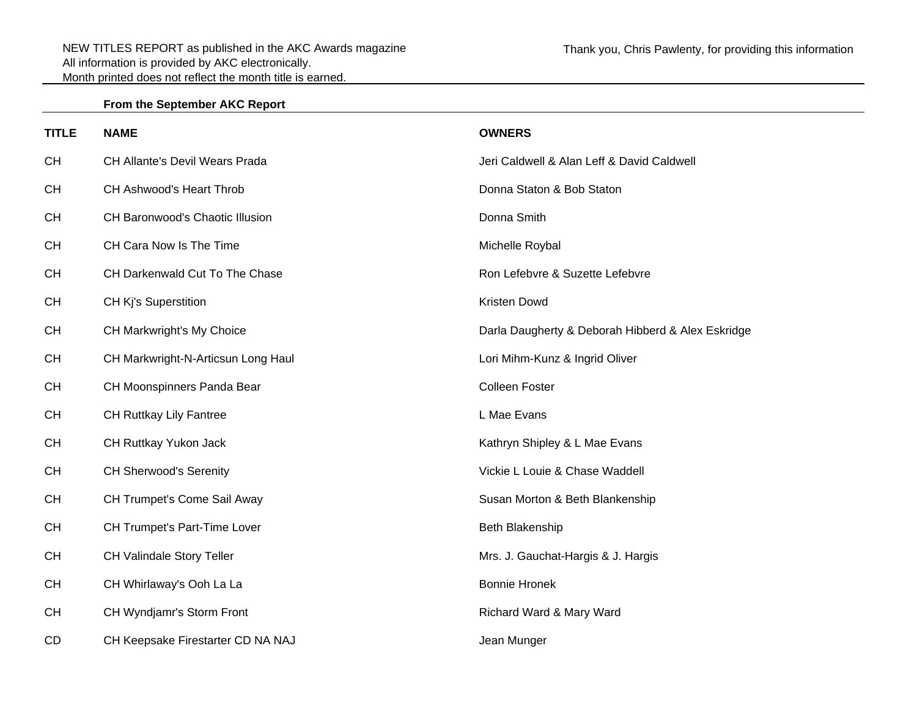## **From the September AKC Report**

| <b>TITLE</b> | <b>NAME</b>                        | <b>OWNERS</b>                                     |
|--------------|------------------------------------|---------------------------------------------------|
| <b>CH</b>    | CH Allante's Devil Wears Prada     | Jeri Caldwell & Alan Leff & David Caldwell        |
| <b>CH</b>    | CH Ashwood's Heart Throb           | Donna Staton & Bob Staton                         |
| <b>CH</b>    | CH Baronwood's Chaotic Illusion    | Donna Smith                                       |
| <b>CH</b>    | CH Cara Now Is The Time            | Michelle Roybal                                   |
| <b>CH</b>    | CH Darkenwald Cut To The Chase     | Ron Lefebvre & Suzette Lefebvre                   |
| <b>CH</b>    | CH Kj's Superstition               | Kristen Dowd                                      |
| <b>CH</b>    | CH Markwright's My Choice          | Darla Daugherty & Deborah Hibberd & Alex Eskridge |
| <b>CH</b>    | CH Markwright-N-Articsun Long Haul | Lori Mihm-Kunz & Ingrid Oliver                    |
| <b>CH</b>    | CH Moonspinners Panda Bear         | <b>Colleen Foster</b>                             |
| <b>CH</b>    | CH Ruttkay Lily Fantree            | L Mae Evans                                       |
| <b>CH</b>    | CH Ruttkay Yukon Jack              | Kathryn Shipley & L Mae Evans                     |
| <b>CH</b>    | <b>CH Sherwood's Serenity</b>      | Vickie L Louie & Chase Waddell                    |
| <b>CH</b>    | CH Trumpet's Come Sail Away        | Susan Morton & Beth Blankenship                   |
| <b>CH</b>    | CH Trumpet's Part-Time Lover       | Beth Blakenship                                   |
| <b>CH</b>    | CH Valindale Story Teller          | Mrs. J. Gauchat-Hargis & J. Hargis                |
| <b>CH</b>    | CH Whirlaway's Ooh La La           | <b>Bonnie Hronek</b>                              |
| <b>CH</b>    | CH Wyndjamr's Storm Front          | Richard Ward & Mary Ward                          |
| <b>CD</b>    | CH Keepsake Firestarter CD NA NAJ  | Jean Munger                                       |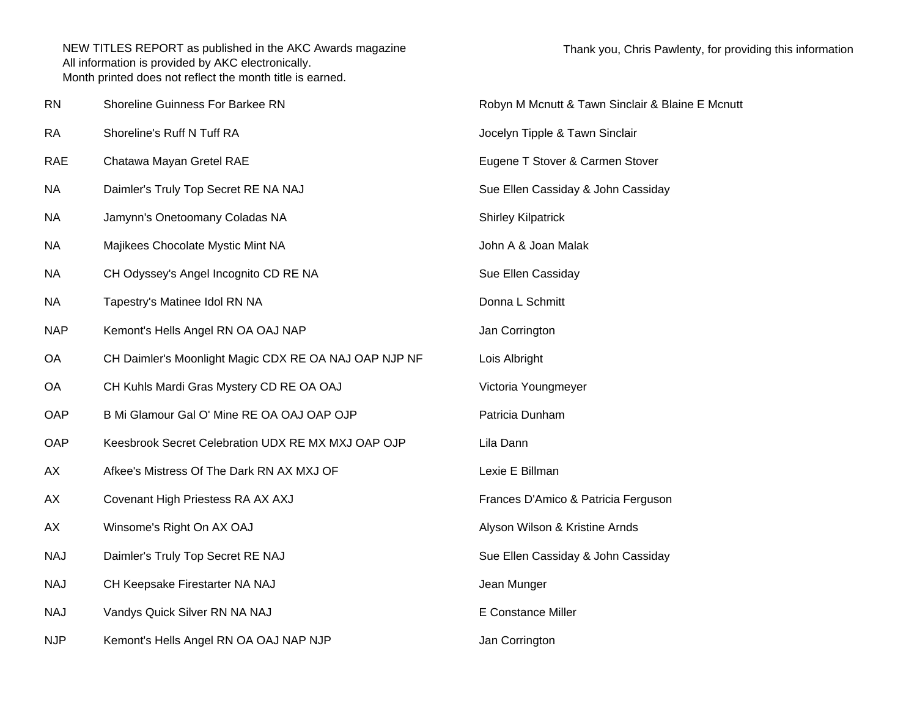| <b>RN</b> | Shoreline Guinness For Barkee RN                      | Robyn M Mcnutt & Tawn Sinclair & Blaine E Mcnutt |
|-----------|-------------------------------------------------------|--------------------------------------------------|
| RA        | Shoreline's Ruff N Tuff RA                            | Jocelyn Tipple & Tawn Sinclair                   |
| RAE       | Chatawa Mayan Gretel RAE                              | Eugene T Stover & Carmen Stover                  |
| ΝA        | Daimler's Truly Top Secret RE NA NAJ                  | Sue Ellen Cassiday & John Cassiday               |
| NΑ        | Jamynn's Onetoomany Coladas NA                        | <b>Shirley Kilpatrick</b>                        |
| ΝA        | Majikees Chocolate Mystic Mint NA                     | John A & Joan Malak                              |
| ΝA        | CH Odyssey's Angel Incognito CD RE NA                 | Sue Ellen Cassiday                               |
| NА        | Tapestry's Matinee Idol RN NA                         | Donna L Schmitt                                  |
| NAP       | Kemont's Hells Angel RN OA OAJ NAP                    | Jan Corrington                                   |
| ОA        | CH Daimler's Moonlight Magic CDX RE OA NAJ OAP NJP NF | Lois Albright                                    |
| ОA        | CH Kuhls Mardi Gras Mystery CD RE OA OAJ              | Victoria Youngmeyer                              |
| OAP       | B Mi Glamour Gal O' Mine RE OA OAJ OAP OJP            | Patricia Dunham                                  |
| OAP       | Keesbrook Secret Celebration UDX RE MX MXJ OAP OJP    | Lila Dann                                        |
| АX        | Afkee's Mistress Of The Dark RN AX MXJ OF             | Lexie E Billman                                  |
| АX        | Covenant High Priestess RA AX AXJ                     | Frances D'Amico & Patricia Ferguson              |
| АX        | Winsome's Right On AX OAJ                             | Alyson Wilson & Kristine Arnds                   |
| NAJ       | Daimler's Truly Top Secret RE NAJ                     | Sue Ellen Cassiday & John Cassiday               |
| NAJ       | CH Keepsake Firestarter NA NAJ                        | Jean Munger                                      |
| NAJ       | Vandys Quick Silver RN NA NAJ                         | E Constance Miller                               |
| NJP       | Kemont's Hells Angel RN OA OAJ NAP NJP                | Jan Corrington                                   |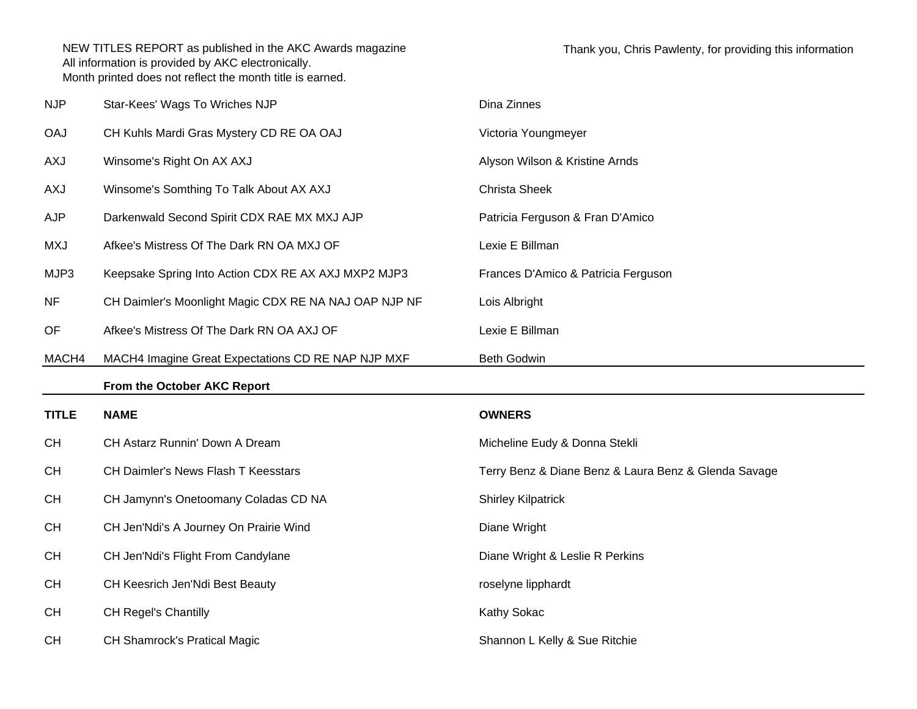| <b>NJP</b>   | Star-Kees' Wags To Wriches NJP                        | Dina Zinnes                                          |
|--------------|-------------------------------------------------------|------------------------------------------------------|
| <b>OAJ</b>   | CH Kuhls Mardi Gras Mystery CD RE OA OAJ              | Victoria Youngmeyer                                  |
| AXJ          | Winsome's Right On AX AXJ                             | Alyson Wilson & Kristine Arnds                       |
| AXJ          | Winsome's Somthing To Talk About AX AXJ               | <b>Christa Sheek</b>                                 |
| AJP          | Darkenwald Second Spirit CDX RAE MX MXJ AJP           | Patricia Ferguson & Fran D'Amico                     |
| <b>MXJ</b>   | Afkee's Mistress Of The Dark RN OA MXJ OF             | Lexie E Billman                                      |
| MJP3         | Keepsake Spring Into Action CDX RE AX AXJ MXP2 MJP3   | Frances D'Amico & Patricia Ferguson                  |
| <b>NF</b>    | CH Daimler's Moonlight Magic CDX RE NA NAJ OAP NJP NF | Lois Albright                                        |
| OF           | Afkee's Mistress Of The Dark RN OA AXJ OF             | Lexie E Billman                                      |
| MACH4        | MACH4 Imagine Great Expectations CD RE NAP NJP MXF    | <b>Beth Godwin</b>                                   |
|              |                                                       |                                                      |
|              | From the October AKC Report                           |                                                      |
| <b>TITLE</b> | <b>NAME</b>                                           | <b>OWNERS</b>                                        |
| <b>CH</b>    | CH Astarz Runnin' Down A Dream                        | Micheline Eudy & Donna Stekli                        |
| <b>CH</b>    | CH Daimler's News Flash T Keesstars                   | Terry Benz & Diane Benz & Laura Benz & Glenda Savage |
| <b>CH</b>    | CH Jamynn's Onetoomany Coladas CD NA                  | <b>Shirley Kilpatrick</b>                            |
| <b>CH</b>    | CH Jen'Ndi's A Journey On Prairie Wind                | Diane Wright                                         |
| CH           | CH Jen'Ndi's Flight From Candylane                    | Diane Wright & Leslie R Perkins                      |
| <b>CH</b>    | CH Keesrich Jen'Ndi Best Beauty                       | roselyne lipphardt                                   |
| <b>CH</b>    | <b>CH Regel's Chantilly</b>                           | Kathy Sokac                                          |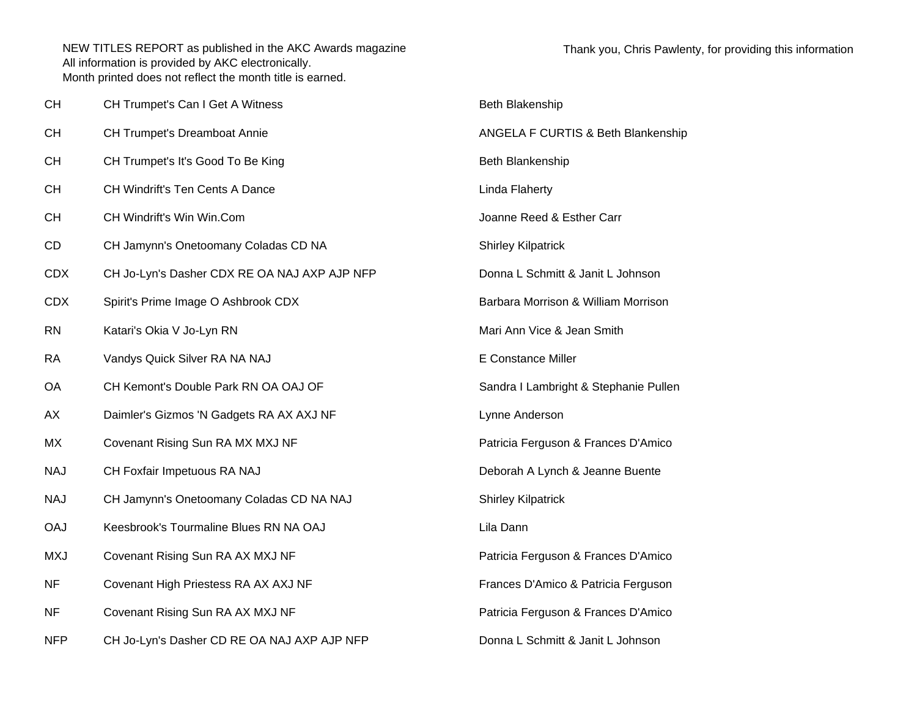| CН         | CH Trumpet's Can I Get A Witness             | Beth Blakenship                       |
|------------|----------------------------------------------|---------------------------------------|
| <b>CH</b>  | <b>CH Trumpet's Dreamboat Annie</b>          | ANGELA F CURTIS & Beth Blankenship    |
| <b>CH</b>  | CH Trumpet's It's Good To Be King            | Beth Blankenship                      |
| <b>CH</b>  | <b>CH Windrift's Ten Cents A Dance</b>       | Linda Flaherty                        |
| <b>CH</b>  | CH Windrift's Win Win.Com                    | Joanne Reed & Esther Carr             |
| CD         | CH Jamynn's Onetoomany Coladas CD NA         | <b>Shirley Kilpatrick</b>             |
| <b>CDX</b> | CH Jo-Lyn's Dasher CDX RE OA NAJ AXP AJP NFP | Donna L Schmitt & Janit L Johnson     |
| <b>CDX</b> | Spirit's Prime Image O Ashbrook CDX          | Barbara Morrison & William Morrison   |
| <b>RN</b>  | Katari's Okia V Jo-Lyn RN                    | Mari Ann Vice & Jean Smith            |
| <b>RA</b>  | Vandys Quick Silver RA NA NAJ                | <b>E Constance Miller</b>             |
| <b>OA</b>  | CH Kemont's Double Park RN OA OAJ OF         | Sandra I Lambright & Stephanie Pullen |
| AX         | Daimler's Gizmos 'N Gadgets RA AX AXJ NF     | Lynne Anderson                        |
| МX         | Covenant Rising Sun RA MX MXJ NF             | Patricia Ferguson & Frances D'Amico   |
| <b>NAJ</b> | CH Foxfair Impetuous RA NAJ                  | Deborah A Lynch & Jeanne Buente       |
| <b>NAJ</b> | CH Jamynn's Onetoomany Coladas CD NA NAJ     | <b>Shirley Kilpatrick</b>             |
| <b>OAJ</b> | Keesbrook's Tourmaline Blues RN NA OAJ       | Lila Dann                             |
| <b>MXJ</b> | Covenant Rising Sun RA AX MXJ NF             | Patricia Ferguson & Frances D'Amico   |
| NF         | Covenant High Priestess RA AX AXJ NF         | Frances D'Amico & Patricia Ferguson   |
| <b>NF</b>  | Covenant Rising Sun RA AX MXJ NF             | Patricia Ferguson & Frances D'Amico   |
| <b>NFP</b> | CH Jo-Lyn's Dasher CD RE OA NAJ AXP AJP NFP  | Donna L Schmitt & Janit L Johnson     |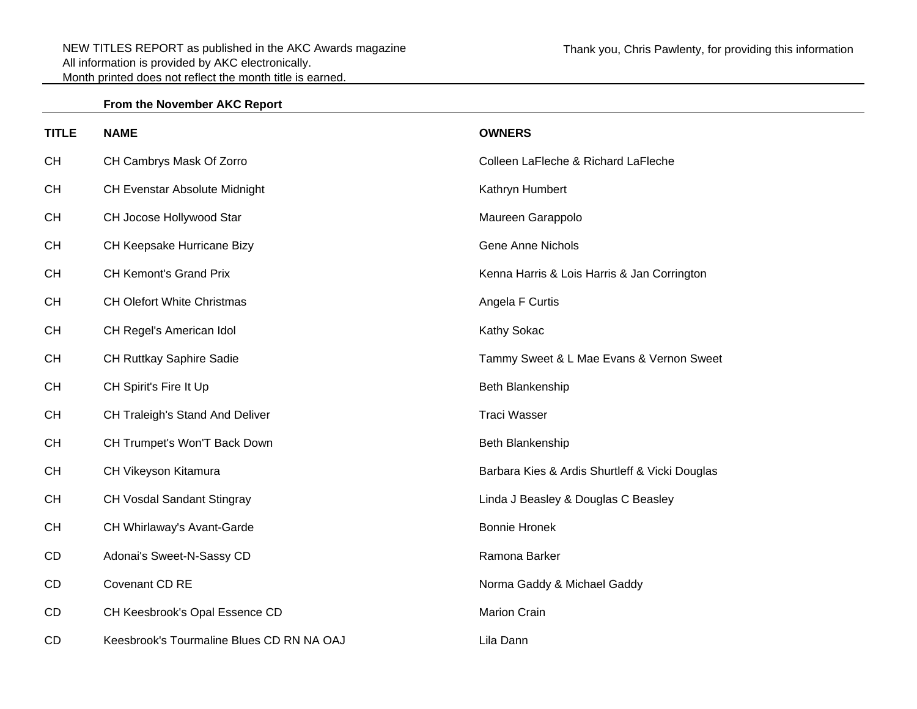## **From the November AKC Report**

| <b>TITLE</b> | <b>NAME</b>                               | <b>OWNERS</b>                                  |
|--------------|-------------------------------------------|------------------------------------------------|
| <b>CH</b>    | CH Cambrys Mask Of Zorro                  | Colleen LaFleche & Richard LaFleche            |
| <b>CH</b>    | <b>CH Evenstar Absolute Midnight</b>      | Kathryn Humbert                                |
| <b>CH</b>    | CH Jocose Hollywood Star                  | Maureen Garappolo                              |
| <b>CH</b>    | CH Keepsake Hurricane Bizy                | <b>Gene Anne Nichols</b>                       |
| <b>CH</b>    | <b>CH Kemont's Grand Prix</b>             | Kenna Harris & Lois Harris & Jan Corrington    |
| <b>CH</b>    | <b>CH Olefort White Christmas</b>         | Angela F Curtis                                |
| <b>CH</b>    | CH Regel's American Idol                  | Kathy Sokac                                    |
| <b>CH</b>    | CH Ruttkay Saphire Sadie                  | Tammy Sweet & L Mae Evans & Vernon Sweet       |
| <b>CH</b>    | CH Spirit's Fire It Up                    | Beth Blankenship                               |
| <b>CH</b>    | CH Traleigh's Stand And Deliver           | <b>Traci Wasser</b>                            |
| <b>CH</b>    | CH Trumpet's Won'T Back Down              | Beth Blankenship                               |
| <b>CH</b>    | CH Vikeyson Kitamura                      | Barbara Kies & Ardis Shurtleff & Vicki Douglas |
| <b>CH</b>    | CH Vosdal Sandant Stingray                | Linda J Beasley & Douglas C Beasley            |
| <b>CH</b>    | CH Whirlaway's Avant-Garde                | <b>Bonnie Hronek</b>                           |
| CD           | Adonai's Sweet-N-Sassy CD                 | Ramona Barker                                  |
| CD           | Covenant CD RE                            | Norma Gaddy & Michael Gaddy                    |
| CD           | CH Keesbrook's Opal Essence CD            | <b>Marion Crain</b>                            |
| CD           | Keesbrook's Tourmaline Blues CD RN NA OAJ | Lila Dann                                      |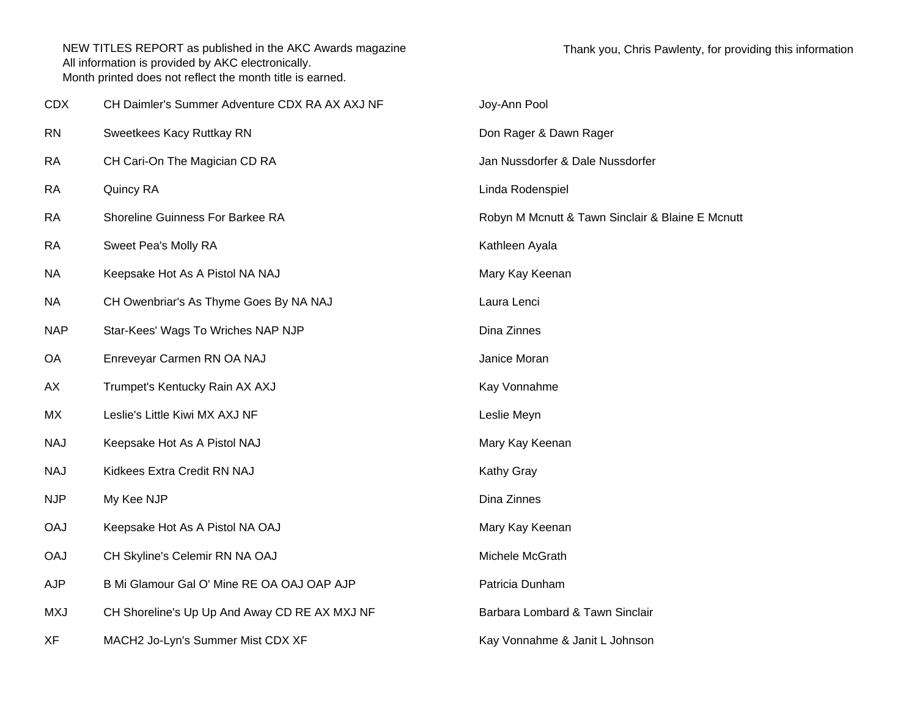| <b>CDX</b> | CH Daimler's Summer Adventure CDX RA AX AXJ NF | Joy-Ann Pool                                     |
|------------|------------------------------------------------|--------------------------------------------------|
| <b>RN</b>  | Sweetkees Kacy Ruttkay RN                      | Don Rager & Dawn Rager                           |
| <b>RA</b>  | CH Cari-On The Magician CD RA                  | Jan Nussdorfer & Dale Nussdorfer                 |
| <b>RA</b>  | Quincy RA                                      | Linda Rodenspiel                                 |
| RA         | Shoreline Guinness For Barkee RA               | Robyn M Mcnutt & Tawn Sinclair & Blaine E Mcnutt |
| <b>RA</b>  | Sweet Pea's Molly RA                           | Kathleen Ayala                                   |
| NA         | Keepsake Hot As A Pistol NA NAJ                | Mary Kay Keenan                                  |
| NA         | CH Owenbriar's As Thyme Goes By NA NAJ         | Laura Lenci                                      |
| <b>NAP</b> | Star-Kees' Wags To Wriches NAP NJP             | Dina Zinnes                                      |
| OA         | Enreveyar Carmen RN OA NAJ                     | Janice Moran                                     |
| AX         | Trumpet's Kentucky Rain AX AXJ                 | Kay Vonnahme                                     |
| МX         | Leslie's Little Kiwi MX AXJ NF                 | Leslie Meyn                                      |
| <b>NAJ</b> | Keepsake Hot As A Pistol NAJ                   | Mary Kay Keenan                                  |
| <b>NAJ</b> | Kidkees Extra Credit RN NAJ                    | Kathy Gray                                       |
| <b>NJP</b> | My Kee NJP                                     | Dina Zinnes                                      |
| <b>OAJ</b> | Keepsake Hot As A Pistol NA OAJ                | Mary Kay Keenan                                  |
| <b>OAJ</b> | CH Skyline's Celemir RN NA OAJ                 | Michele McGrath                                  |
| <b>AJP</b> | B Mi Glamour Gal O' Mine RE OA OAJ OAP AJP     | Patricia Dunham                                  |
| <b>MXJ</b> | CH Shoreline's Up Up And Away CD RE AX MXJ NF  | Barbara Lombard & Tawn Sinclair                  |
| XF         | MACH2 Jo-Lyn's Summer Mist CDX XF              | Kay Vonnahme & Janit L Johnson                   |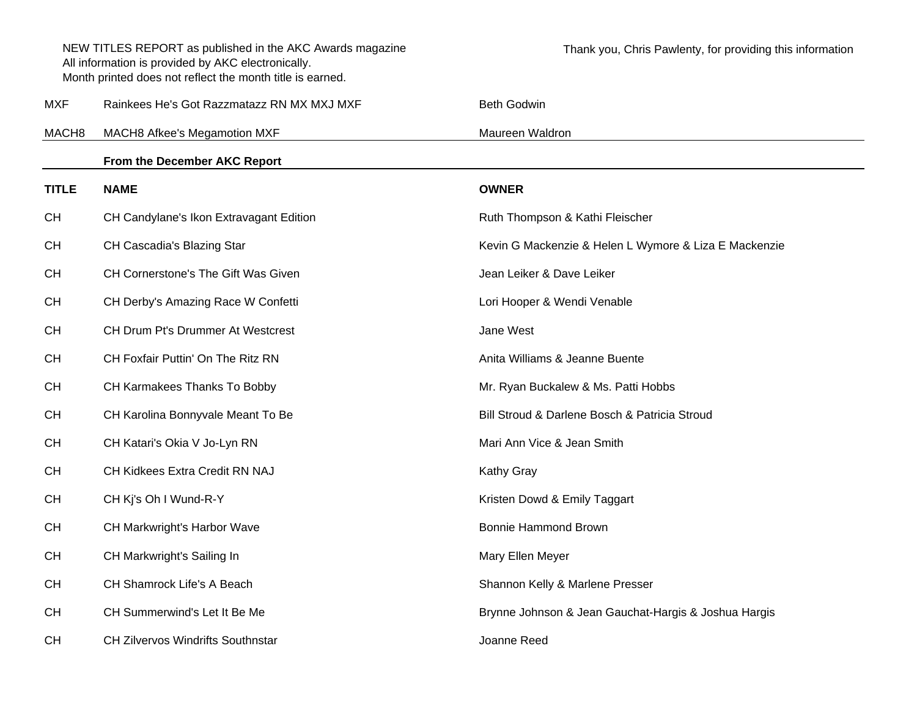|                   | NEW TITLES REPORT as published in the AKC Awards magazine<br>All information is provided by AKC electronically.<br>Month printed does not reflect the month title is earned. | Thank you, Chris Pawlenty, for providing this information |
|-------------------|------------------------------------------------------------------------------------------------------------------------------------------------------------------------------|-----------------------------------------------------------|
| MXF               | Rainkees He's Got Razzmatazz RN MX MXJ MXF                                                                                                                                   | <b>Beth Godwin</b>                                        |
| MACH <sub>8</sub> | MACH8 Afkee's Megamotion MXF                                                                                                                                                 | Maureen Waldron                                           |
|                   | From the December AKC Report                                                                                                                                                 |                                                           |
| <b>TITLE</b>      | <b>NAME</b>                                                                                                                                                                  | <b>OWNER</b>                                              |
| <b>CH</b>         | CH Candylane's Ikon Extravagant Edition                                                                                                                                      | Ruth Thompson & Kathi Fleischer                           |
| <b>CH</b>         | CH Cascadia's Blazing Star                                                                                                                                                   | Kevin G Mackenzie & Helen L Wymore & Liza E Mackenzie     |
| <b>CH</b>         | CH Cornerstone's The Gift Was Given                                                                                                                                          | Jean Leiker & Dave Leiker                                 |
| <b>CH</b>         | CH Derby's Amazing Race W Confetti                                                                                                                                           | Lori Hooper & Wendi Venable                               |
| <b>CH</b>         | CH Drum Pt's Drummer At Westcrest                                                                                                                                            | Jane West                                                 |
| <b>CH</b>         | CH Foxfair Puttin' On The Ritz RN                                                                                                                                            | Anita Williams & Jeanne Buente                            |
| <b>CH</b>         | CH Karmakees Thanks To Bobby                                                                                                                                                 | Mr. Ryan Buckalew & Ms. Patti Hobbs                       |
| <b>CH</b>         | CH Karolina Bonnyvale Meant To Be                                                                                                                                            | Bill Stroud & Darlene Bosch & Patricia Stroud             |
| <b>CH</b>         | CH Katari's Okia V Jo-Lyn RN                                                                                                                                                 | Mari Ann Vice & Jean Smith                                |
| <b>CH</b>         | CH Kidkees Extra Credit RN NAJ                                                                                                                                               | <b>Kathy Gray</b>                                         |
| <b>CH</b>         | CH Kj's Oh I Wund-R-Y                                                                                                                                                        | Kristen Dowd & Emily Taggart                              |
| <b>CH</b>         | CH Markwright's Harbor Wave                                                                                                                                                  | <b>Bonnie Hammond Brown</b>                               |
| <b>CH</b>         | CH Markwright's Sailing In                                                                                                                                                   | Mary Ellen Meyer                                          |
| <b>CH</b>         | CH Shamrock Life's A Beach                                                                                                                                                   | Shannon Kelly & Marlene Presser                           |
| <b>CH</b>         | CH Summerwind's Let It Be Me                                                                                                                                                 | Brynne Johnson & Jean Gauchat-Hargis & Joshua Hargis      |
| <b>CH</b>         | <b>CH Zilvervos Windrifts Southnstar</b>                                                                                                                                     | Joanne Reed                                               |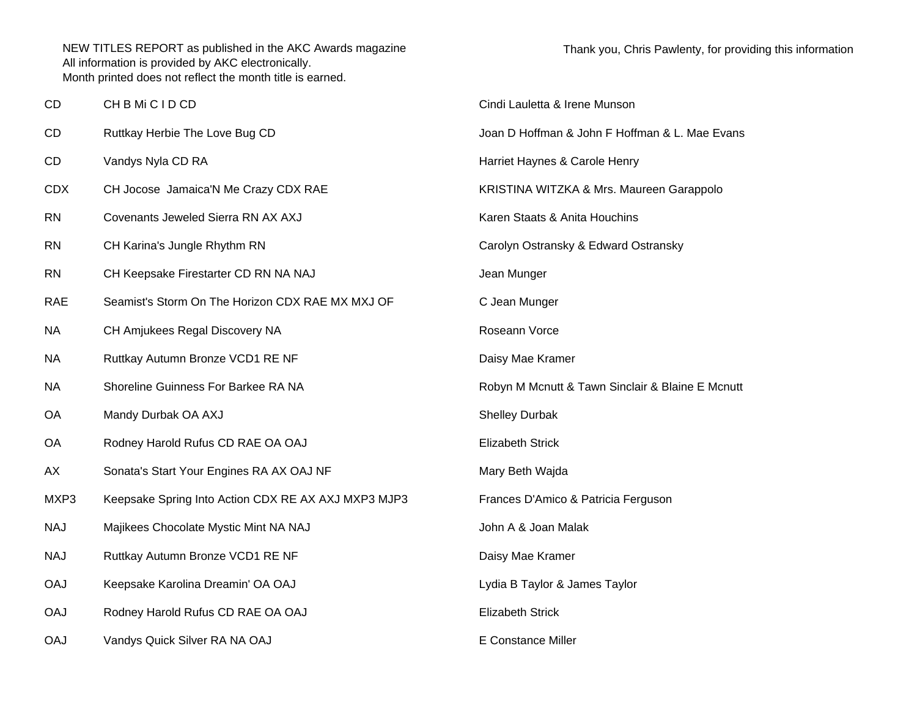| CD         | CH B Mi C I D CD                                    | Cindi Lauletta & Irene Munson                    |
|------------|-----------------------------------------------------|--------------------------------------------------|
| CD         | Ruttkay Herbie The Love Bug CD                      | Joan D Hoffman & John F Hoffman & L. Mae Evans   |
| CD         | Vandys Nyla CD RA                                   | Harriet Haynes & Carole Henry                    |
| <b>CDX</b> | CH Jocose Jamaica'N Me Crazy CDX RAE                | KRISTINA WITZKA & Mrs. Maureen Garappolo         |
| <b>RN</b>  | Covenants Jeweled Sierra RN AX AXJ                  | Karen Staats & Anita Houchins                    |
| <b>RN</b>  | CH Karina's Jungle Rhythm RN                        | Carolyn Ostransky & Edward Ostransky             |
| <b>RN</b>  | CH Keepsake Firestarter CD RN NA NAJ                | Jean Munger                                      |
| <b>RAE</b> | Seamist's Storm On The Horizon CDX RAE MX MXJ OF    | C Jean Munger                                    |
| <b>NA</b>  | CH Amjukees Regal Discovery NA                      | Roseann Vorce                                    |
| <b>NA</b>  | Ruttkay Autumn Bronze VCD1 RE NF                    | Daisy Mae Kramer                                 |
| <b>NA</b>  | Shoreline Guinness For Barkee RA NA                 | Robyn M Mcnutt & Tawn Sinclair & Blaine E Mcnutt |
| <b>OA</b>  | Mandy Durbak OA AXJ                                 | <b>Shelley Durbak</b>                            |
| OA         | Rodney Harold Rufus CD RAE OA OAJ                   | <b>Elizabeth Strick</b>                          |
| AX         | Sonata's Start Your Engines RA AX OAJ NF            | Mary Beth Wajda                                  |
| MXP3       | Keepsake Spring Into Action CDX RE AX AXJ MXP3 MJP3 | Frances D'Amico & Patricia Ferguson              |
| <b>NAJ</b> | Majikees Chocolate Mystic Mint NA NAJ               | John A & Joan Malak                              |
| <b>NAJ</b> | Ruttkay Autumn Bronze VCD1 RE NF                    | Daisy Mae Kramer                                 |
| <b>OAJ</b> | Keepsake Karolina Dreamin' OA OAJ                   | Lydia B Taylor & James Taylor                    |
| <b>OAJ</b> | Rodney Harold Rufus CD RAE OA OAJ                   | <b>Elizabeth Strick</b>                          |
| <b>OAJ</b> | Vandys Quick Silver RA NA OAJ                       | E Constance Miller                               |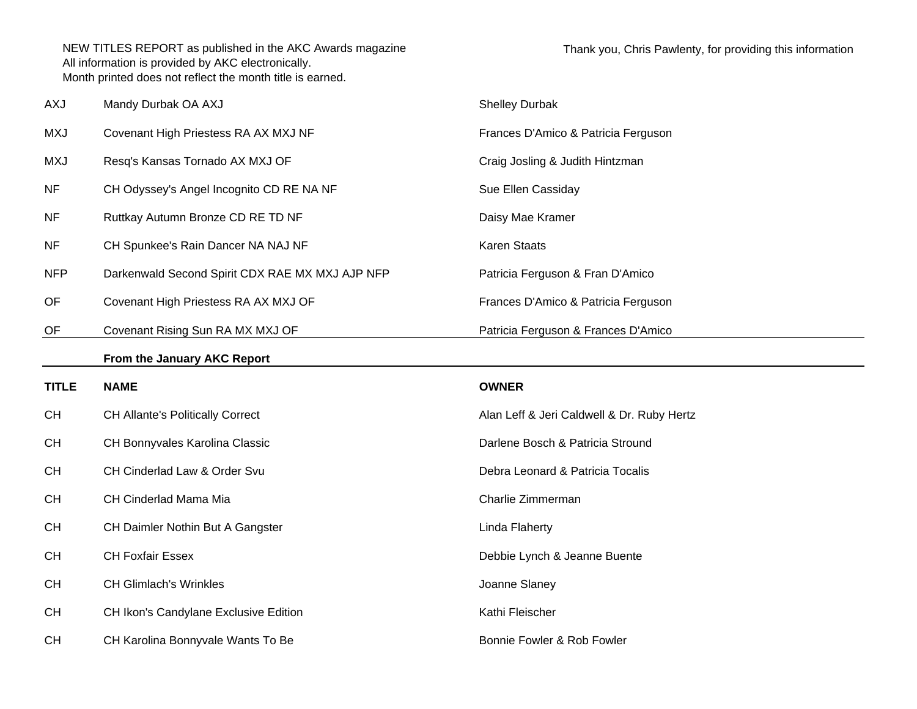| <b>AXJ</b>   | Mandy Durbak OA AXJ                             | <b>Shelley Durbak</b>                      |
|--------------|-------------------------------------------------|--------------------------------------------|
| <b>MXJ</b>   | Covenant High Priestess RA AX MXJ NF            | Frances D'Amico & Patricia Ferguson        |
| <b>MXJ</b>   | Resq's Kansas Tornado AX MXJ OF                 | Craig Josling & Judith Hintzman            |
| <b>NF</b>    | CH Odyssey's Angel Incognito CD RE NA NF        | Sue Ellen Cassiday                         |
| <b>NF</b>    | Ruttkay Autumn Bronze CD RE TD NF               | Daisy Mae Kramer                           |
| <b>NF</b>    | CH Spunkee's Rain Dancer NA NAJ NF              | Karen Staats                               |
| <b>NFP</b>   | Darkenwald Second Spirit CDX RAE MX MXJ AJP NFP | Patricia Ferguson & Fran D'Amico           |
| OF           | Covenant High Priestess RA AX MXJ OF            | Frances D'Amico & Patricia Ferguson        |
| OF           | Covenant Rising Sun RA MX MXJ OF                | Patricia Ferguson & Frances D'Amico        |
|              | From the January AKC Report                     |                                            |
|              |                                                 |                                            |
| <b>TITLE</b> | <b>NAME</b>                                     | <b>OWNER</b>                               |
| <b>CH</b>    | <b>CH Allante's Politically Correct</b>         | Alan Leff & Jeri Caldwell & Dr. Ruby Hertz |
| <b>CH</b>    | CH Bonnyvales Karolina Classic                  | Darlene Bosch & Patricia Stround           |
| <b>CH</b>    | CH Cinderlad Law & Order Svu                    | Debra Leonard & Patricia Tocalis           |
| <b>CH</b>    | CH Cinderlad Mama Mia                           | Charlie Zimmerman                          |
| CH           | CH Daimler Nothin But A Gangster                | Linda Flaherty                             |
| <b>CH</b>    | <b>CH Foxfair Essex</b>                         | Debbie Lynch & Jeanne Buente               |
| CH           | <b>CH Glimlach's Wrinkles</b>                   | Joanne Slaney                              |
| <b>CH</b>    | CH Ikon's Candylane Exclusive Edition           | Kathi Fleischer                            |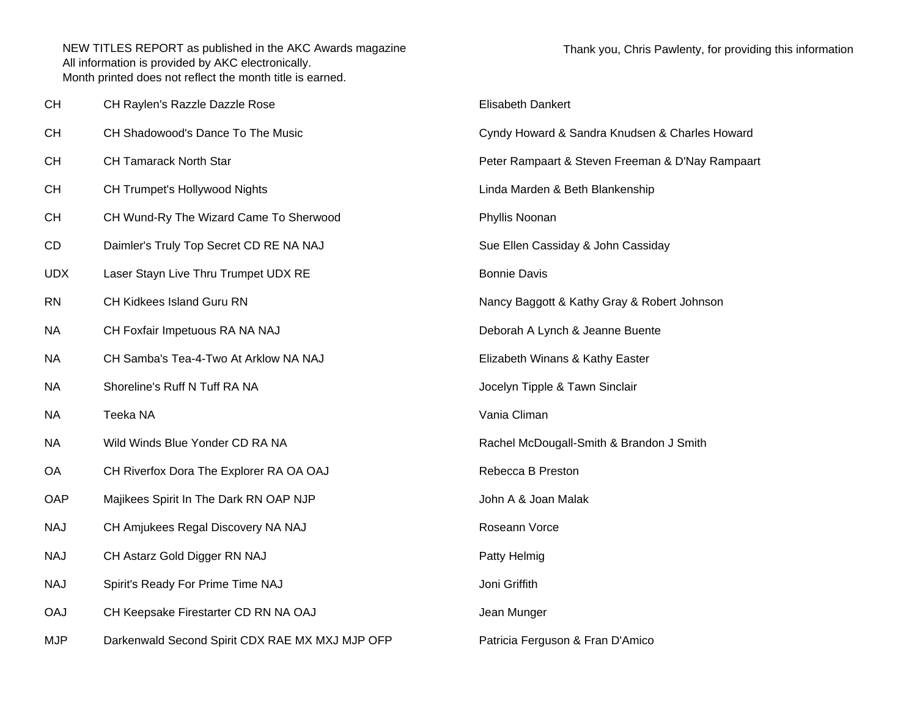| CН         | CH Raylen's Razzle Dazzle Rose                  | Elisabeth Dankert                                |  |
|------------|-------------------------------------------------|--------------------------------------------------|--|
| CН         | CH Shadowood's Dance To The Music               | Cyndy Howard & Sandra Knudsen & Charles Howard   |  |
| CН         | <b>CH Tamarack North Star</b>                   | Peter Rampaart & Steven Freeman & D'Nay Rampaart |  |
| CН         | CH Trumpet's Hollywood Nights                   | Linda Marden & Beth Blankenship                  |  |
| CН         | CH Wund-Ry The Wizard Came To Sherwood          | Phyllis Noonan                                   |  |
| CD         | Daimler's Truly Top Secret CD RE NA NAJ         | Sue Ellen Cassiday & John Cassiday               |  |
| UDX        | Laser Stayn Live Thru Trumpet UDX RE            | <b>Bonnie Davis</b>                              |  |
| RN         | CH Kidkees Island Guru RN                       | Nancy Baggott & Kathy Gray & Robert Johnson      |  |
| ΝA         | CH Foxfair Impetuous RA NA NAJ                  | Deborah A Lynch & Jeanne Buente                  |  |
| NА         | CH Samba's Tea-4-Two At Arklow NA NAJ           | Elizabeth Winans & Kathy Easter                  |  |
| ΝA         | Shoreline's Ruff N Tuff RA NA                   | Jocelyn Tipple & Tawn Sinclair                   |  |
| ΝA         | Teeka NA                                        | Vania Climan                                     |  |
| ΝA         | Wild Winds Blue Yonder CD RA NA                 | Rachel McDougall-Smith & Brandon J Smith         |  |
| ОA         | CH Riverfox Dora The Explorer RA OA OAJ         | Rebecca B Preston                                |  |
| OAP        | Majikees Spirit In The Dark RN OAP NJP          | John A & Joan Malak                              |  |
| NAJ        | CH Amjukees Regal Discovery NA NAJ              | Roseann Vorce                                    |  |
| NAJ        | CH Astarz Gold Digger RN NAJ                    | Patty Helmig                                     |  |
| NAJ        | Spirit's Ready For Prime Time NAJ               | Joni Griffith                                    |  |
| <b>OAJ</b> | CH Keepsake Firestarter CD RN NA OAJ            | Jean Munger                                      |  |
| MJP        | Darkenwald Second Spirit CDX RAE MX MXJ MJP OFP | Patricia Ferguson & Fran D'Amico                 |  |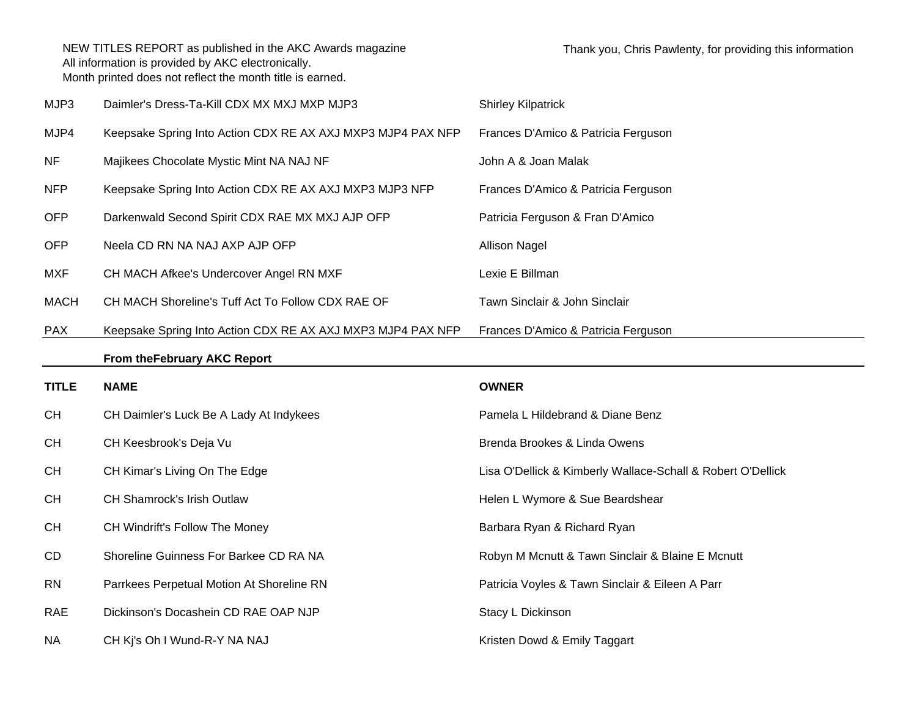| MJP3         | Daimler's Dress-Ta-Kill CDX MX MXJ MXP MJP3                 | <b>Shirley Kilpatrick</b>                                   |
|--------------|-------------------------------------------------------------|-------------------------------------------------------------|
| MJP4         | Keepsake Spring Into Action CDX RE AX AXJ MXP3 MJP4 PAX NFP | Frances D'Amico & Patricia Ferguson                         |
| <b>NF</b>    | Majikees Chocolate Mystic Mint NA NAJ NF                    | John A & Joan Malak                                         |
| <b>NFP</b>   | Keepsake Spring Into Action CDX RE AX AXJ MXP3 MJP3 NFP     | Frances D'Amico & Patricia Ferguson                         |
| <b>OFP</b>   | Darkenwald Second Spirit CDX RAE MX MXJ AJP OFP             | Patricia Ferguson & Fran D'Amico                            |
| <b>OFP</b>   | Neela CD RN NA NAJ AXP AJP OFP                              | <b>Allison Nagel</b>                                        |
| <b>MXF</b>   | CH MACH Afkee's Undercover Angel RN MXF                     | Lexie E Billman                                             |
| <b>MACH</b>  | CH MACH Shoreline's Tuff Act To Follow CDX RAE OF           | Tawn Sinclair & John Sinclair                               |
| <b>PAX</b>   | Keepsake Spring Into Action CDX RE AX AXJ MXP3 MJP4 PAX NFP | Frances D'Amico & Patricia Ferguson                         |
|              | From the February AKC Report                                |                                                             |
|              |                                                             |                                                             |
| <b>TITLE</b> | <b>NAME</b>                                                 | <b>OWNER</b>                                                |
| <b>CH</b>    | CH Daimler's Luck Be A Lady At Indykees                     | Pamela L Hildebrand & Diane Benz                            |
| <b>CH</b>    | CH Keesbrook's Deja Vu                                      | Brenda Brookes & Linda Owens                                |
| <b>CH</b>    | CH Kimar's Living On The Edge                               | Lisa O'Dellick & Kimberly Wallace-Schall & Robert O'Dellick |
| <b>CH</b>    | CH Shamrock's Irish Outlaw                                  | Helen L Wymore & Sue Beardshear                             |
| <b>CH</b>    | CH Windrift's Follow The Money                              | Barbara Ryan & Richard Ryan                                 |
| CD           | Shoreline Guinness For Barkee CD RA NA                      | Robyn M Mcnutt & Tawn Sinclair & Blaine E Mcnutt            |
| <b>RN</b>    | Parrkees Perpetual Motion At Shoreline RN                   | Patricia Voyles & Tawn Sinclair & Eileen A Parr             |
| <b>RAE</b>   | Dickinson's Docashein CD RAE OAP NJP                        | Stacy L Dickinson                                           |